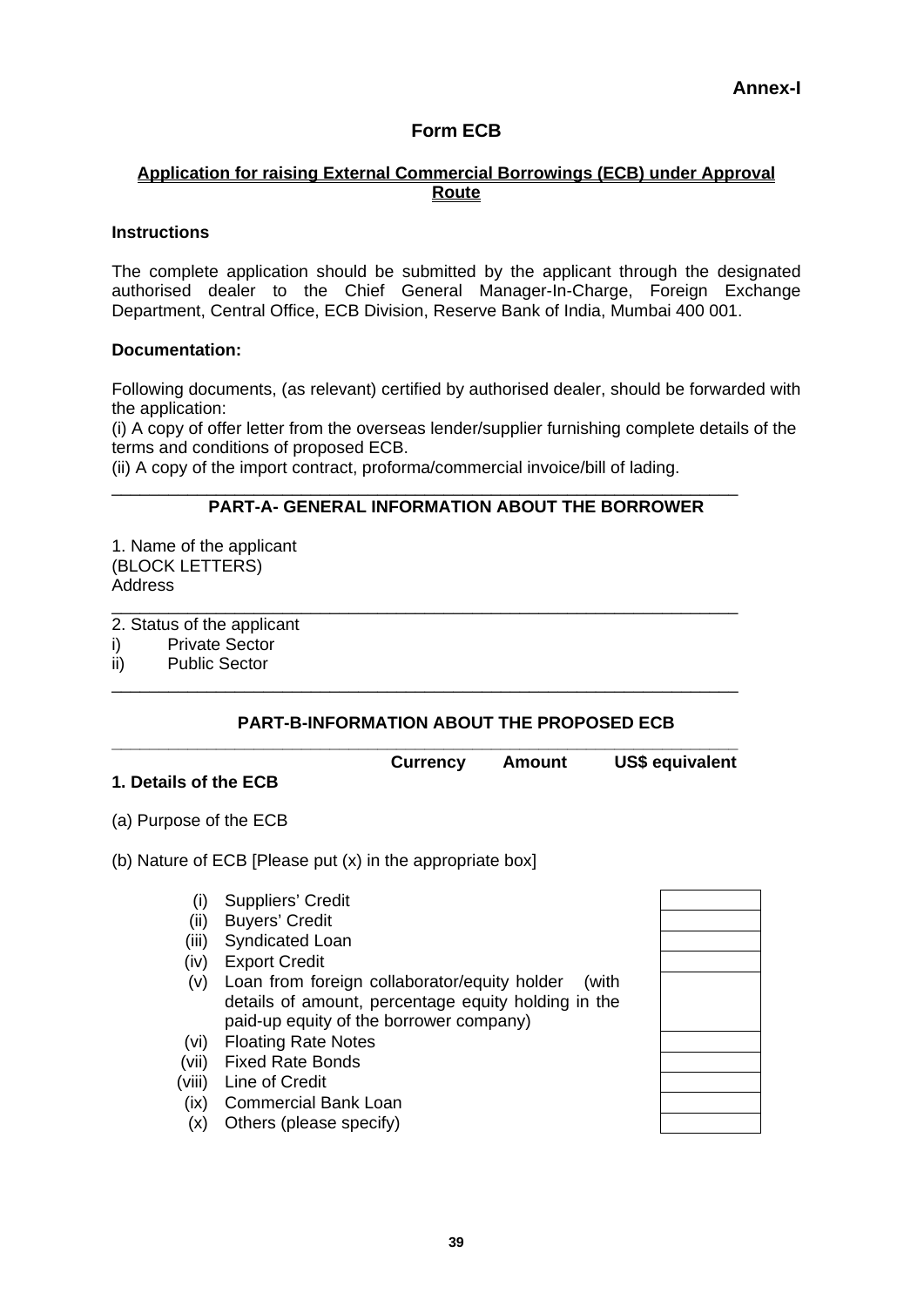# **Form ECB**

### **Application for raising External Commercial Borrowings (ECB) under Approval Route**

#### **Instructions**

The complete application should be submitted by the applicant through the designated authorised dealer to the Chief General Manager-In-Charge, Foreign Exchange Department, Central Office, ECB Division, Reserve Bank of India, Mumbai 400 001.

### **Documentation:**

Following documents, (as relevant) certified by authorised dealer, should be forwarded with the application:

(i) A copy of offer letter from the overseas lender/supplier furnishing complete details of the terms and conditions of proposed ECB.

(ii) A copy of the import contract, proforma/commercial invoice/bill of lading.

\_\_\_\_\_\_\_\_\_\_\_\_\_\_\_\_\_\_\_\_\_\_\_\_\_\_\_\_\_\_\_\_\_\_\_\_\_\_\_\_\_\_\_\_\_\_\_\_\_\_\_\_\_\_\_\_\_\_\_\_\_\_\_\_\_\_

\_\_\_\_\_\_\_\_\_\_\_\_\_\_\_\_\_\_\_\_\_\_\_\_\_\_\_\_\_\_\_\_\_\_\_\_\_\_\_\_\_\_\_\_\_\_\_\_\_\_\_\_\_\_\_\_\_\_\_\_\_\_\_\_\_\_

\_\_\_\_\_\_\_\_\_\_\_\_\_\_\_\_\_\_\_\_\_\_\_\_\_\_\_\_\_\_\_\_\_\_\_\_\_\_\_\_\_\_\_\_\_\_\_\_\_\_\_\_\_\_\_\_\_\_\_\_\_\_\_\_\_\_

### **PART-A- GENERAL INFORMATION ABOUT THE BORROWER**

1. Name of the applicant (BLOCK LETTERS) **Address** 

2. Status of the applicant

- i) Private Sector
- ii) Public Sector

#### **PART-B-INFORMATION ABOUT THE PROPOSED ECB**

| <b>Currency</b> | Amount | US\$ equivalent |
|-----------------|--------|-----------------|

# **1. Details of the ECB**

(a) Purpose of the ECB

(b) Nature of ECB [Please put (x) in the appropriate box]

- (i) Suppliers' Credit
- (ii) Buyers' Credit
- (iii) Syndicated Loan
- (iv) Export Credit
- (v) Loan from foreign collaborator/equity holder (with details of amount, percentage equity holding in the paid-up equity of the borrower company)
- (vi) Floating Rate Notes
- (vii) Fixed Rate Bonds
- (viii) Line of Credit
- (ix) Commercial Bank Loan
- (x) Others (please specify)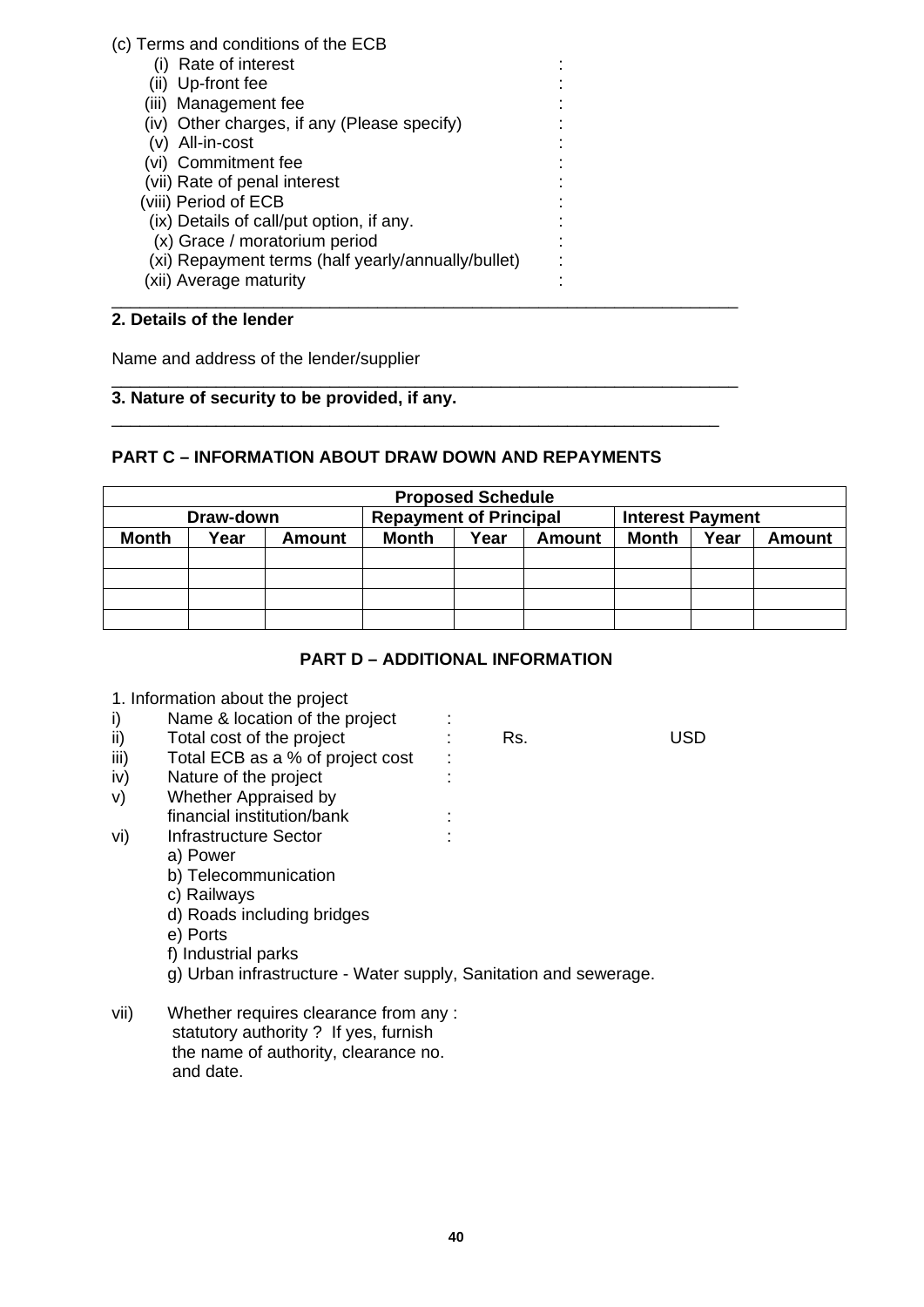### (c) Terms and conditions of the ECB

- (i) Rate of interest :
- (ii) Up-front fee
- (iii) Management fee
- (iv) Other charges, if any (Please specify)
- $(v)$  All-in-cost
- (vi) Commitment fee
- (vii) Rate of penal interest :
- (viii) Period of ECB :
- $(ix)$  Details of call/put option, if any.
- (x) Grace / moratorium period :
- (xi) Repayment terms (half yearly/annually/bullet) :
- (xii) Average maturity \_\_\_\_\_\_\_\_\_\_\_\_\_\_\_\_\_\_\_\_\_\_\_\_\_\_\_\_\_\_\_\_\_\_\_\_\_\_\_\_\_\_\_\_\_\_\_\_\_\_\_\_\_\_\_\_\_\_\_\_\_\_\_\_\_\_

# **2. Details of the lender**

Name and address of the lender/supplier

#### \_\_\_\_\_\_\_\_\_\_\_\_\_\_\_\_\_\_\_\_\_\_\_\_\_\_\_\_\_\_\_\_\_\_\_\_\_\_\_\_\_\_\_\_\_\_\_\_\_\_\_\_\_\_\_\_\_\_\_\_\_\_\_\_\_\_ **3. Nature of security to be provided, if any.**

# **PART C – INFORMATION ABOUT DRAW DOWN AND REPAYMENTS**

\_\_\_\_\_\_\_\_\_\_\_\_\_\_\_\_\_\_\_\_\_\_\_\_\_\_\_\_\_\_\_\_\_\_\_\_\_\_\_\_\_\_\_\_\_\_\_\_\_\_\_\_\_\_\_\_\_\_\_\_\_\_\_\_

| <b>Proposed Schedule</b> |      |                               |       |      |                         |       |      |               |
|--------------------------|------|-------------------------------|-------|------|-------------------------|-------|------|---------------|
| Draw-down                |      | <b>Repayment of Principal</b> |       |      | <b>Interest Payment</b> |       |      |               |
| Month                    | Year | <b>Amount</b>                 | Month | Year | Amount                  | Month | Year | <b>Amount</b> |
|                          |      |                               |       |      |                         |       |      |               |
|                          |      |                               |       |      |                         |       |      |               |
|                          |      |                               |       |      |                         |       |      |               |
|                          |      |                               |       |      |                         |       |      |               |

# **PART D – ADDITIONAL INFORMATION**

| 1. Information about the project |  |
|----------------------------------|--|
|----------------------------------|--|

# i) Name & location of the project :

- ii) Total cost of the project : Rs. USD
- $iii)$  Total ECB as a % of project cost :
- iv) Nature of the project :
- v) Whether Appraised by
- financial institution/bank :
- vi) Infrastructure Sector : :
	- a) Power
	- b) Telecommunication
	- c) Railways
	- d) Roads including bridges
	- e) Ports
	- f) Industrial parks
	- g) Urban infrastructure Water supply, Sanitation and sewerage.
- vii) Whether requires clearance from any : statutory authority ? If yes, furnish the name of authority, clearance no. and date.